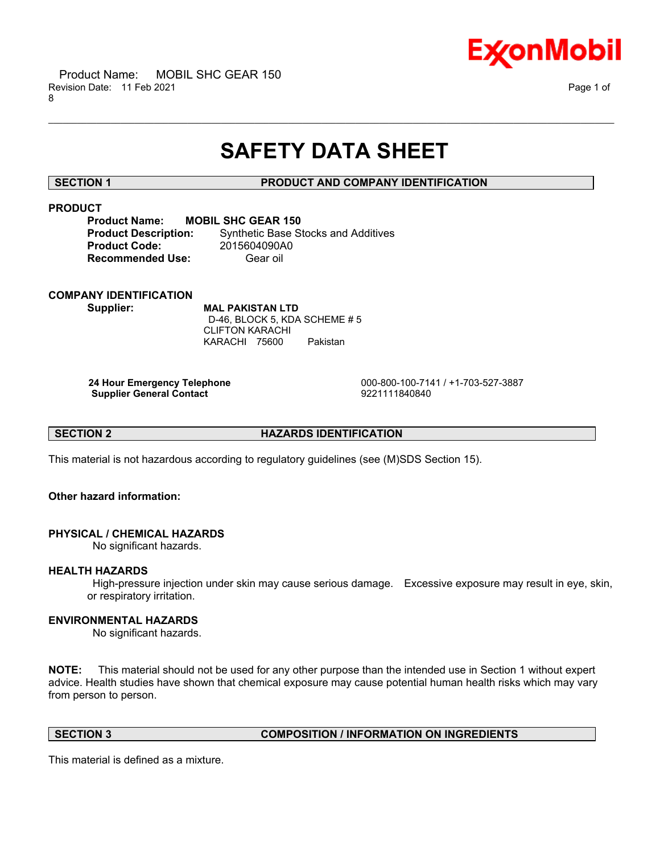

# **SAFETY DATA SHEET**

\_\_\_\_\_\_\_\_\_\_\_\_\_\_\_\_\_\_\_\_\_\_\_\_\_\_\_\_\_\_\_\_\_\_\_\_\_\_\_\_\_\_\_\_\_\_\_\_\_\_\_\_\_\_\_\_\_\_\_\_\_\_\_\_\_\_\_\_\_\_\_\_\_\_\_\_\_\_\_\_\_\_\_\_\_\_\_\_\_\_\_\_\_\_\_\_\_\_\_\_\_\_\_\_\_\_\_\_\_\_\_\_\_\_\_\_\_\_

### **SECTION 1 PRODUCT AND COMPANY IDENTIFICATION**

## **PRODUCT**

**Product Name: MOBIL SHC GEAR 150 Product Code:** 2015604090A0 **Recommended Use:** Gear oil

**Product Description:** Synthetic Base Stocks and Additives

# **COMPANY IDENTIFICATION**

**Supplier: MAL PAKISTAN LTD** D-46, BLOCK 5, KDA SCHEME # 5 CLIFTON KARACHI KARACHI 75600 Pakistan

**Supplier General Contact** 

 **24 Hour Emergency Telephone** 000-800-100-7141 / +1-703-527-3887

**SECTION 2 HAZARDS IDENTIFICATION** 

This material is not hazardous according to regulatory guidelines (see (M)SDS Section 15).

### **Other hazard information:**

### **PHYSICAL / CHEMICAL HAZARDS**

No significant hazards.

### **HEALTH HAZARDS**

 High-pressure injection under skin may cause serious damage. Excessive exposure may result in eye, skin, or respiratory irritation.

### **ENVIRONMENTAL HAZARDS**

No significant hazards.

**NOTE:** This material should not be used for any other purpose than the intended use in Section 1 without expert advice. Health studies have shown that chemical exposure may cause potential human health risks which may vary from person to person.

### **SECTION 3 COMPOSITION / INFORMATION ON INGREDIENTS**

This material is defined as a mixture.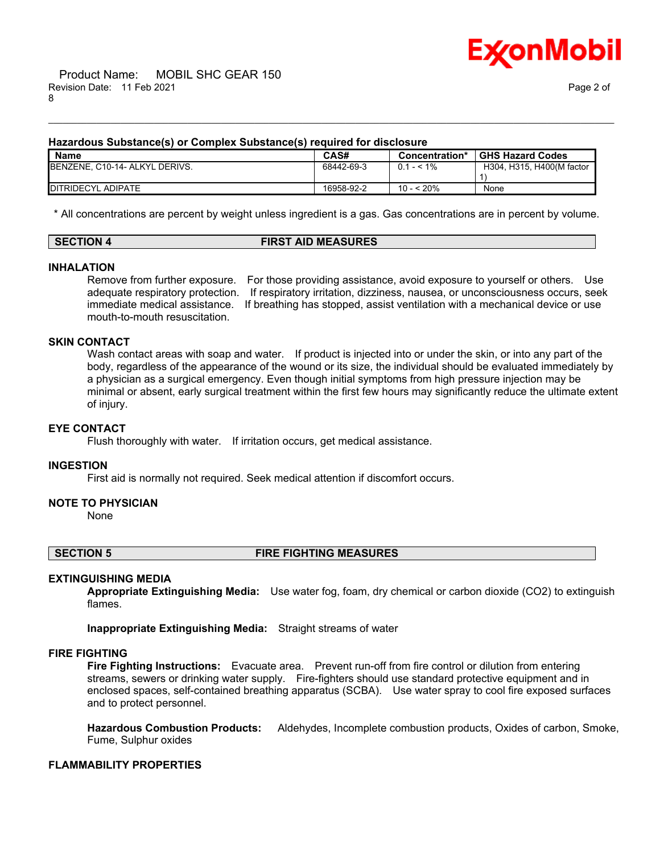

#### **Hazardous Substance(s) or Complex Substance(s) required for disclosure**

| <b>Name</b>                    | CAS#       | Concentration* | <b>GHS Hazard Codes</b>   |
|--------------------------------|------------|----------------|---------------------------|
| BENZENE, C10-14- ALKYL DERIVS. | 68442-69-3 | $0.1 - 5.1\%$  | H304, H315, H400(M factor |
|                                |            |                |                           |
| <b>IDITRIDECYL ADIPATE</b>     | 16958-92-2 | 10 - < 20%     | None                      |

\_\_\_\_\_\_\_\_\_\_\_\_\_\_\_\_\_\_\_\_\_\_\_\_\_\_\_\_\_\_\_\_\_\_\_\_\_\_\_\_\_\_\_\_\_\_\_\_\_\_\_\_\_\_\_\_\_\_\_\_\_\_\_\_\_\_\_\_\_\_\_\_\_\_\_\_\_\_\_\_\_\_\_\_\_\_\_\_\_\_\_\_\_\_\_\_\_\_\_\_\_\_\_\_\_\_\_\_\_\_\_\_\_\_\_\_\_\_

\* All concentrations are percent by weight unless ingredient is a gas. Gas concentrations are in percent by volume.

#### **SECTION 4 FIRST AID MEASURES**

#### **INHALATION**

Remove from further exposure. For those providing assistance, avoid exposure to yourself or others. Use adequate respiratory protection. If respiratory irritation, dizziness, nausea, or unconsciousness occurs, seek immediate medical assistance. If breathing has stopped, assist ventilation with a mechanical device or use mouth-to-mouth resuscitation.

#### **SKIN CONTACT**

Wash contact areas with soap and water. If product is injected into or under the skin, or into any part of the body, regardless of the appearance of the wound or its size, the individual should be evaluated immediately by a physician as a surgical emergency. Even though initial symptoms from high pressure injection may be minimal or absent, early surgical treatment within the first few hours may significantly reduce the ultimate extent of injury.

#### **EYE CONTACT**

Flush thoroughly with water. If irritation occurs, get medical assistance.

#### **INGESTION**

First aid is normally not required. Seek medical attention if discomfort occurs.

#### **NOTE TO PHYSICIAN**

None

#### **SECTION 5 FIRE FIGHTING MEASURES**

#### **EXTINGUISHING MEDIA**

**Appropriate Extinguishing Media:** Use water fog, foam, dry chemical or carbon dioxide (CO2) to extinguish flames.

**Inappropriate Extinguishing Media:** Straight streams of water

#### **FIRE FIGHTING**

**Fire Fighting Instructions:** Evacuate area. Prevent run-off from fire control or dilution from entering streams, sewers or drinking water supply. Fire-fighters should use standard protective equipment and in enclosed spaces, self-contained breathing apparatus (SCBA). Use water spray to cool fire exposed surfaces and to protect personnel.

**Hazardous Combustion Products:** Aldehydes, Incomplete combustion products, Oxides of carbon, Smoke, Fume, Sulphur oxides

### **FLAMMABILITY PROPERTIES**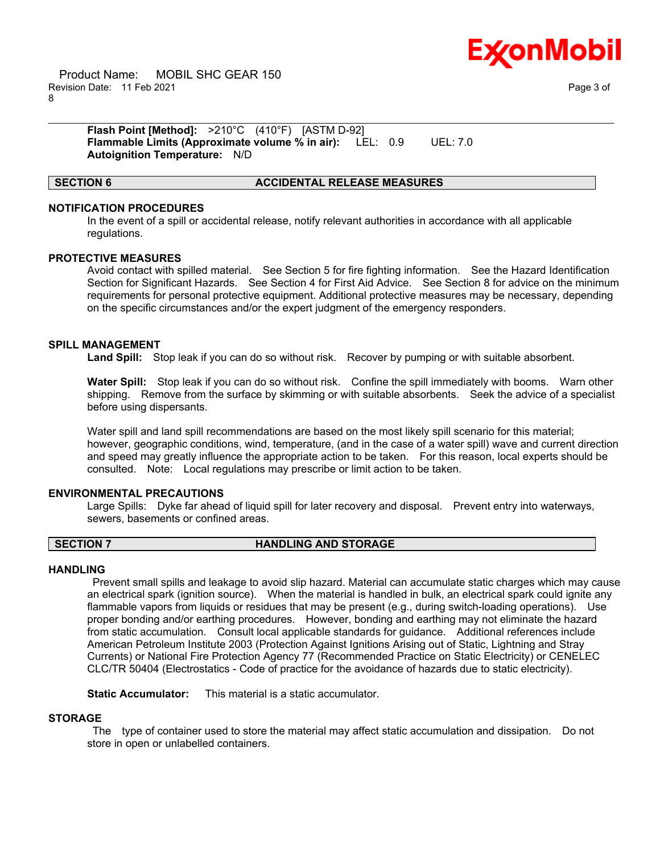

 Product Name: MOBIL SHC GEAR 150 Revision Date: 11 Feb 2021 Page 3 of 8

**Flash Point [Method]:** >210°C (410°F) [ASTM D-92] **Flammable Limits (Approximate volume % in air):** LEL: 0.9 UEL: 7.0 **Autoignition Temperature:** N/D

#### **SECTION 6 ACCIDENTAL RELEASE MEASURES**

#### **NOTIFICATION PROCEDURES**

In the event of a spill or accidental release, notify relevant authorities in accordance with all applicable regulations.

\_\_\_\_\_\_\_\_\_\_\_\_\_\_\_\_\_\_\_\_\_\_\_\_\_\_\_\_\_\_\_\_\_\_\_\_\_\_\_\_\_\_\_\_\_\_\_\_\_\_\_\_\_\_\_\_\_\_\_\_\_\_\_\_\_\_\_\_\_\_\_\_\_\_\_\_\_\_\_\_\_\_\_\_\_\_\_\_\_\_\_\_\_\_\_\_\_\_\_\_\_\_\_\_\_\_\_\_\_\_\_\_\_\_\_\_\_\_

#### **PROTECTIVE MEASURES**

Avoid contact with spilled material. See Section 5 for fire fighting information. See the Hazard Identification Section for Significant Hazards. See Section 4 for First Aid Advice. See Section 8 for advice on the minimum requirements for personal protective equipment. Additional protective measures may be necessary, depending on the specific circumstances and/or the expert judgment of the emergency responders.

#### **SPILL MANAGEMENT**

**Land Spill:** Stop leak if you can do so without risk. Recover by pumping or with suitable absorbent.

**Water Spill:** Stop leak if you can do so without risk. Confine the spill immediately with booms. Warn other shipping. Remove from the surface by skimming or with suitable absorbents. Seek the advice of a specialist before using dispersants.

Water spill and land spill recommendations are based on the most likely spill scenario for this material; however, geographic conditions, wind, temperature, (and in the case of a water spill) wave and current direction and speed may greatly influence the appropriate action to be taken. For this reason, local experts should be consulted. Note: Local regulations may prescribe or limit action to be taken.

#### **ENVIRONMENTAL PRECAUTIONS**

Large Spills: Dyke far ahead of liquid spill for later recovery and disposal. Prevent entry into waterways, sewers, basements or confined areas.

#### **SECTION 7 HANDLING AND STORAGE**

#### **HANDLING**

 Prevent small spills and leakage to avoid slip hazard. Material can accumulate static charges which may cause an electrical spark (ignition source). When the material is handled in bulk, an electrical spark could ignite any flammable vapors from liquids or residues that may be present (e.g., during switch-loading operations). Use proper bonding and/or earthing procedures. However, bonding and earthing may not eliminate the hazard from static accumulation. Consult local applicable standards for guidance. Additional references include American Petroleum Institute 2003 (Protection Against Ignitions Arising out of Static, Lightning and Stray Currents) or National Fire Protection Agency 77 (Recommended Practice on Static Electricity) or CENELEC CLC/TR 50404 (Electrostatics - Code of practice for the avoidance of hazards due to static electricity).

**Static Accumulator:** This material is a static accumulator.

#### **STORAGE**

 The type of container used to store the material may affect static accumulation and dissipation. Do not store in open or unlabelled containers.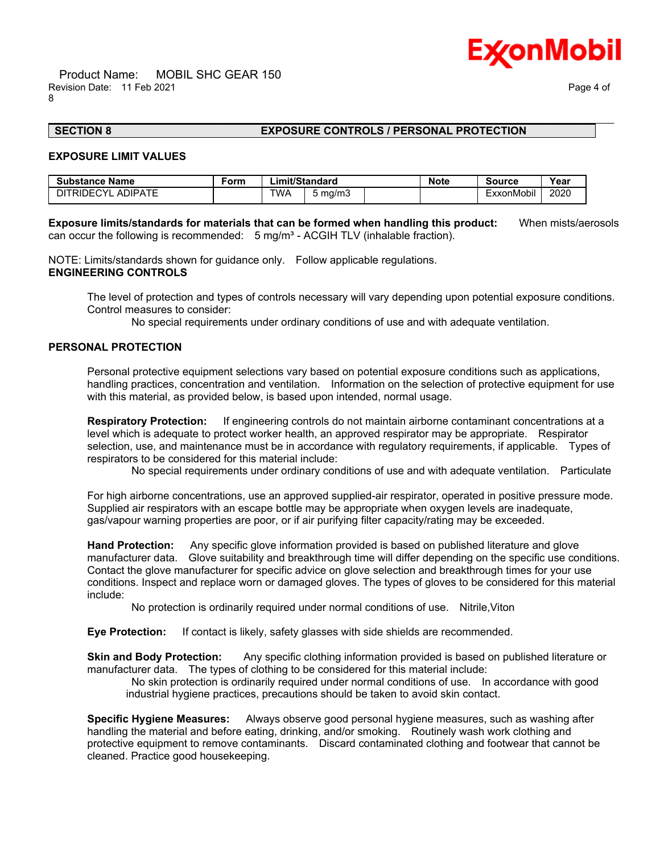

# \_\_\_\_\_\_\_\_\_\_\_\_\_\_\_\_\_\_\_\_\_\_\_\_\_\_\_\_\_\_\_\_\_\_\_\_\_\_\_\_\_\_\_\_\_\_\_\_\_\_\_\_\_\_\_\_\_\_\_\_\_\_\_\_\_\_\_\_\_\_\_\_\_\_\_\_\_\_\_\_\_\_\_\_\_\_\_\_\_\_\_\_\_\_\_\_\_\_\_\_\_\_\_\_\_\_\_\_\_\_\_\_\_\_\_\_\_\_

### **SECTION 8 EXPOSURE CONTROLS / PERSONAL PROTECTION**

#### **EXPOSURE LIMIT VALUES**

| <b>Substance Name</b>             | Form | ∟imit/Standard |         | <b>Note</b> | Source | Year                   |      |
|-----------------------------------|------|----------------|---------|-------------|--------|------------------------|------|
| TRIDECYI<br><b>ADIPATE</b><br>דור |      | TWA            | 5 mg/m3 |             |        | $\cdots$<br>-xxonMobil | 2020 |

**Exposure limits/standards for materials that can be formed when handling this product:** When mists/aerosols can occur the following is recommended:  $5 \text{ mg/m}^3$  - ACGIH TLV (inhalable fraction).

NOTE: Limits/standards shown for guidance only. Follow applicable regulations. **ENGINEERING CONTROLS**

The level of protection and types of controls necessary will vary depending upon potential exposure conditions. Control measures to consider:

No special requirements under ordinary conditions of use and with adequate ventilation.

#### **PERSONAL PROTECTION**

Personal protective equipment selections vary based on potential exposure conditions such as applications, handling practices, concentration and ventilation. Information on the selection of protective equipment for use with this material, as provided below, is based upon intended, normal usage.

**Respiratory Protection:** If engineering controls do not maintain airborne contaminant concentrations at a level which is adequate to protect worker health, an approved respirator may be appropriate. Respirator selection, use, and maintenance must be in accordance with regulatory requirements, if applicable. Types of respirators to be considered for this material include:

No special requirements under ordinary conditions of use and with adequate ventilation. Particulate

For high airborne concentrations, use an approved supplied-air respirator, operated in positive pressure mode. Supplied air respirators with an escape bottle may be appropriate when oxygen levels are inadequate, gas/vapour warning properties are poor, or if air purifying filter capacity/rating may be exceeded.

**Hand Protection:** Any specific glove information provided is based on published literature and glove manufacturer data. Glove suitability and breakthrough time will differ depending on the specific use conditions. Contact the glove manufacturer for specific advice on glove selection and breakthrough times for your use conditions. Inspect and replace worn or damaged gloves. The types of gloves to be considered for this material include:

No protection is ordinarily required under normal conditions of use. Nitrile,Viton

**Eye Protection:** If contact is likely, safety glasses with side shields are recommended.

**Skin and Body Protection:** Any specific clothing information provided is based on published literature or manufacturer data. The types of clothing to be considered for this material include:

 No skin protection is ordinarily required under normal conditions of use. In accordance with good industrial hygiene practices, precautions should be taken to avoid skin contact.

**Specific Hygiene Measures:** Always observe good personal hygiene measures, such as washing after handling the material and before eating, drinking, and/or smoking. Routinely wash work clothing and protective equipment to remove contaminants. Discard contaminated clothing and footwear that cannot be cleaned. Practice good housekeeping.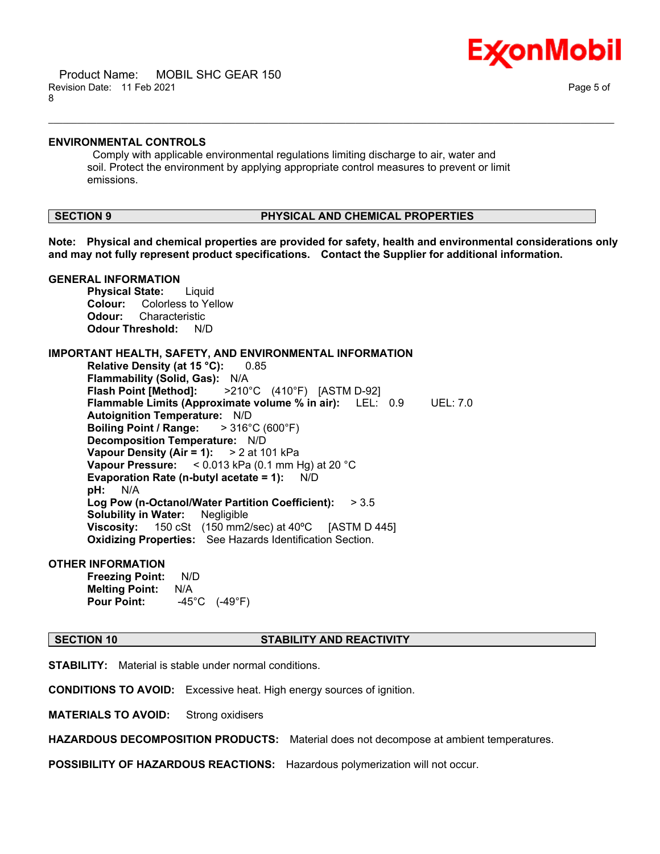

#### **ENVIRONMENTAL CONTROLS**

 Comply with applicable environmental regulations limiting discharge to air, water and soil. Protect the environment by applying appropriate control measures to prevent or limit emissions.

### **SECTION 9 PHYSICAL AND CHEMICAL PROPERTIES**

**Note: Physical and chemical properties are provided for safety, health and environmental considerations only and may not fully represent product specifications. Contact the Supplier for additional information.**

\_\_\_\_\_\_\_\_\_\_\_\_\_\_\_\_\_\_\_\_\_\_\_\_\_\_\_\_\_\_\_\_\_\_\_\_\_\_\_\_\_\_\_\_\_\_\_\_\_\_\_\_\_\_\_\_\_\_\_\_\_\_\_\_\_\_\_\_\_\_\_\_\_\_\_\_\_\_\_\_\_\_\_\_\_\_\_\_\_\_\_\_\_\_\_\_\_\_\_\_\_\_\_\_\_\_\_\_\_\_\_\_\_\_\_\_\_\_

#### **GENERAL INFORMATION**

**Physical State:** Liquid **Colour:** Colorless to Yellow **Odour:** Characteristic **Odour Threshold:** N/D

#### **IMPORTANT HEALTH, SAFETY, AND ENVIRONMENTAL INFORMATION**

**Relative Density (at 15 °C):** 0.85 **Flammability (Solid, Gas):** N/A **Flash Point [Method]:** >210°C (410°F) [ASTM D-92] **Flammable Limits (Approximate volume % in air):** LEL: 0.9 UEL: 7.0 **Autoignition Temperature:** N/D **Boiling Point / Range:** > 316°C (600°F) **Decomposition Temperature:** N/D **Vapour Density (Air = 1):** > 2 at 101 kPa **Vapour Pressure:** < 0.013 kPa (0.1 mm Hg) at 20 °C **Evaporation Rate (n-butyl acetate = 1):** N/D **pH:** N/A **Log Pow (n-Octanol/Water Partition Coefficient):** > 3.5 **Solubility in Water:** Negligible **Viscosity:** 150 cSt (150 mm2/sec) at 40ºC [ASTM D 445] **Oxidizing Properties:** See Hazards Identification Section.

### **OTHER INFORMATION**

**Freezing Point:** N/D **Melting Point:** N/A **Pour Point:** -45°C (-49°F)

**SECTION 10 STABILITY AND REACTIVITY**

**STABILITY:** Material is stable under normal conditions.

**CONDITIONS TO AVOID:** Excessive heat. High energy sources of ignition.

**MATERIALS TO AVOID:** Strong oxidisers

**HAZARDOUS DECOMPOSITION PRODUCTS:** Material does not decompose at ambient temperatures.

**POSSIBILITY OF HAZARDOUS REACTIONS:** Hazardous polymerization will not occur.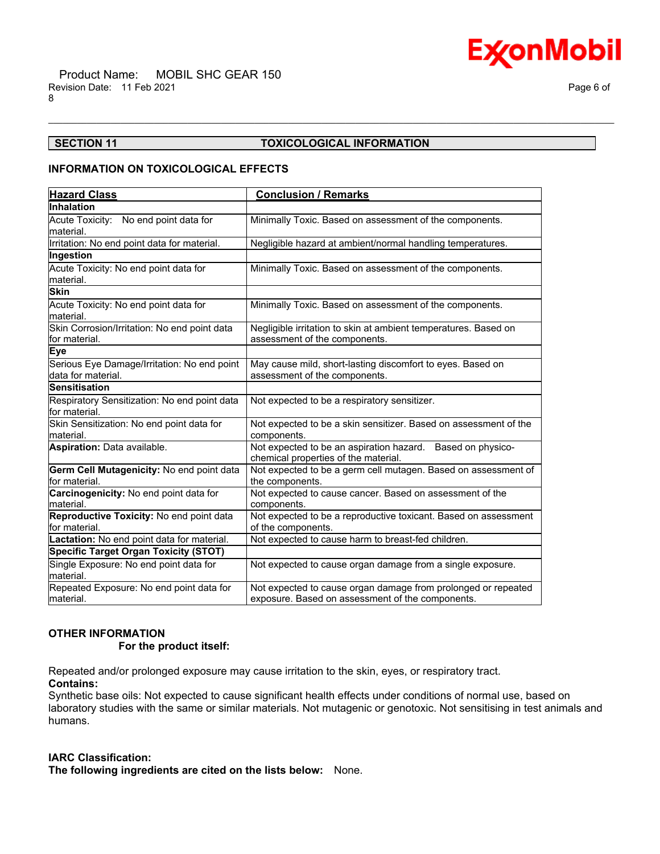

### **SECTION 11 TOXICOLOGICAL INFORMATION**

\_\_\_\_\_\_\_\_\_\_\_\_\_\_\_\_\_\_\_\_\_\_\_\_\_\_\_\_\_\_\_\_\_\_\_\_\_\_\_\_\_\_\_\_\_\_\_\_\_\_\_\_\_\_\_\_\_\_\_\_\_\_\_\_\_\_\_\_\_\_\_\_\_\_\_\_\_\_\_\_\_\_\_\_\_\_\_\_\_\_\_\_\_\_\_\_\_\_\_\_\_\_\_\_\_\_\_\_\_\_\_\_\_\_\_\_\_\_

#### **INFORMATION ON TOXICOLOGICAL EFFECTS**

| <b>Hazard Class</b>                                               | <b>Conclusion / Remarks</b>                                                                                       |  |  |
|-------------------------------------------------------------------|-------------------------------------------------------------------------------------------------------------------|--|--|
| Inhalation                                                        |                                                                                                                   |  |  |
| Acute Toxicity: No end point data for                             | Minimally Toxic. Based on assessment of the components.                                                           |  |  |
| material.                                                         |                                                                                                                   |  |  |
| Irritation: No end point data for material.                       | Negligible hazard at ambient/normal handling temperatures.                                                        |  |  |
| Ingestion                                                         |                                                                                                                   |  |  |
| Acute Toxicity: No end point data for<br>lmaterial.               | Minimally Toxic. Based on assessment of the components.                                                           |  |  |
| <b>Skin</b>                                                       |                                                                                                                   |  |  |
| Acute Toxicity: No end point data for<br>material.                | Minimally Toxic. Based on assessment of the components.                                                           |  |  |
| Skin Corrosion/Irritation: No end point data<br>lfor material.    | Negligible irritation to skin at ambient temperatures. Based on<br>assessment of the components.                  |  |  |
| Eye                                                               |                                                                                                                   |  |  |
| Serious Eye Damage/Irritation: No end point<br>data for material. | May cause mild, short-lasting discomfort to eyes. Based on<br>assessment of the components.                       |  |  |
| <b>Sensitisation</b>                                              |                                                                                                                   |  |  |
| Respiratory Sensitization: No end point data<br>lfor material.    | Not expected to be a respiratory sensitizer.                                                                      |  |  |
| Skin Sensitization: No end point data for<br>lmaterial.           | Not expected to be a skin sensitizer. Based on assessment of the<br>components.                                   |  |  |
| <b>Aspiration: Data available.</b>                                | Not expected to be an aspiration hazard. Based on physico-<br>chemical properties of the material.                |  |  |
| Germ Cell Mutagenicity: No end point data<br>for material.        | Not expected to be a germ cell mutagen. Based on assessment of<br>the components.                                 |  |  |
| Carcinogenicity: No end point data for<br>material.               | Not expected to cause cancer. Based on assessment of the<br>components.                                           |  |  |
| Reproductive Toxicity: No end point data<br>lfor material.        | Not expected to be a reproductive toxicant. Based on assessment<br>of the components.                             |  |  |
| Lactation: No end point data for material.                        | Not expected to cause harm to breast-fed children.                                                                |  |  |
| <b>Specific Target Organ Toxicity (STOT)</b>                      |                                                                                                                   |  |  |
| Single Exposure: No end point data for<br>lmaterial.              | Not expected to cause organ damage from a single exposure.                                                        |  |  |
| Repeated Exposure: No end point data for<br>lmaterial.            | Not expected to cause organ damage from prolonged or repeated<br>exposure. Based on assessment of the components. |  |  |

#### **OTHER INFORMATION**

#### **For the product itself:**

Repeated and/or prolonged exposure may cause irritation to the skin, eyes, or respiratory tract.

### **Contains:**

Synthetic base oils: Not expected to cause significant health effects under conditions of normal use, based on laboratory studies with the same or similar materials. Not mutagenic or genotoxic. Not sensitising in test animals and humans.

### **IARC Classification:**

**The following ingredients are cited on the lists below:** None.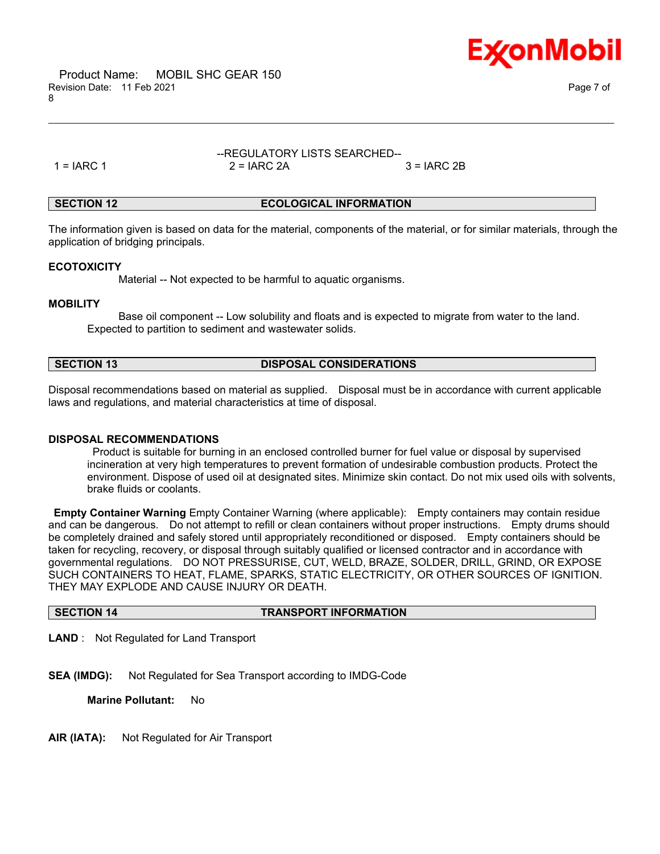



### --REGULATORY LISTS SEARCHED--  $1 = IARC 1$   $2 = IARC 2A$   $3 = IARC 2B$

\_\_\_\_\_\_\_\_\_\_\_\_\_\_\_\_\_\_\_\_\_\_\_\_\_\_\_\_\_\_\_\_\_\_\_\_\_\_\_\_\_\_\_\_\_\_\_\_\_\_\_\_\_\_\_\_\_\_\_\_\_\_\_\_\_\_\_\_\_\_\_\_\_\_\_\_\_\_\_\_\_\_\_\_\_\_\_\_\_\_\_\_\_\_\_\_\_\_\_\_\_\_\_\_\_\_\_\_\_\_\_\_\_\_\_\_\_\_

#### **SECTION 12 ECOLOGICAL INFORMATION**

The information given is based on data for the material, components of the material, or for similar materials, through the application of bridging principals.

#### **ECOTOXICITY**

Material -- Not expected to be harmful to aquatic organisms.

#### **MOBILITY**

 Base oil component -- Low solubility and floats and is expected to migrate from water to the land. Expected to partition to sediment and wastewater solids.

#### **SECTION 13 DISPOSAL CONSIDERATIONS**

Disposal recommendations based on material as supplied. Disposal must be in accordance with current applicable laws and regulations, and material characteristics at time of disposal.

### **DISPOSAL RECOMMENDATIONS**

 Product is suitable for burning in an enclosed controlled burner for fuel value or disposal by supervised incineration at very high temperatures to prevent formation of undesirable combustion products. Protect the environment. Dispose of used oil at designated sites. Minimize skin contact. Do not mix used oils with solvents, brake fluids or coolants.

**Empty Container Warning** Empty Container Warning (where applicable): Empty containers may contain residue and can be dangerous. Do not attempt to refill or clean containers without proper instructions. Empty drums should be completely drained and safely stored until appropriately reconditioned or disposed. Empty containers should be taken for recycling, recovery, or disposal through suitably qualified or licensed contractor and in accordance with governmental regulations. DO NOT PRESSURISE, CUT, WELD, BRAZE, SOLDER, DRILL, GRIND, OR EXPOSE SUCH CONTAINERS TO HEAT, FLAME, SPARKS, STATIC ELECTRICITY, OR OTHER SOURCES OF IGNITION. THEY MAY EXPLODE AND CAUSE INJURY OR DEATH.

# **SECTION 14 TRANSPORT INFORMATION**

**LAND** : Not Regulated for Land Transport

**SEA (IMDG):** Not Regulated for Sea Transport according to IMDG-Code

**Marine Pollutant:** No

**AIR (IATA):** Not Regulated for Air Transport